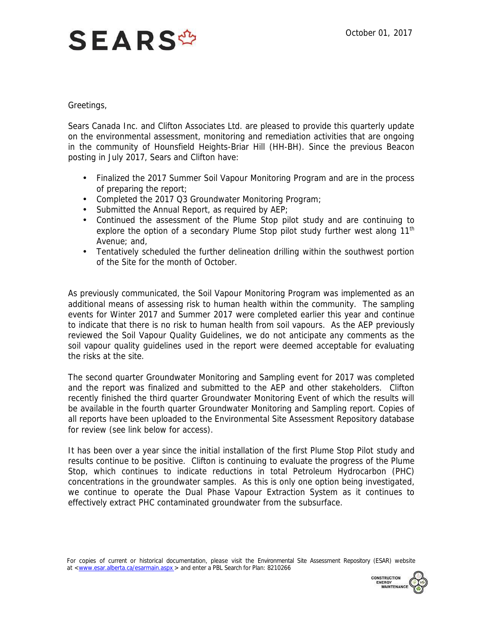## **SEARS<sup>\$</sup>**

## Greetings,

 Sears Canada Inc. and Clifton Associates Ltd. are pleased to provide this quarterly update on the environmental assessment, monitoring and remediation activities that are ongoing in the community of Hounsfield Heights-Briar Hill (HH-BH). Since the previous Beacon posting in July 2017, Sears and Clifton have:

- Finalized the 2017 Summer Soil Vapour Monitoring Program and are in the process of preparing the report;
- Completed the 2017 Q3 Groundwater Monitoring Program;
- ) Submitted the Annual Report, as required by AEP;
- Continued the assessment of the Plume Stop pilot study and are continuing to explore the option of a secondary Plume Stop pilot study further west along 11<sup>th</sup> Avenue; and,
- Tentatively scheduled the further delineation drilling within the southwest portion of the Site for the month of October.

 As previously communicated, the Soil Vapour Monitoring Program was implemented as an additional means of assessing risk to human health within the community. The sampling to indicate that there is no risk to human health from soil vapours. As the AEP previously reviewed the Soil Vapour Quality Guidelines, we do not anticipate any comments as the soil vapour quality guidelines used in the report were deemed acceptable for evaluating the risks at the site. events for Winter 2017 and Summer 2017 were completed earlier this year and continue

 and the report was finalized and submitted to the AEP and other stakeholders. Clifton recently finished the third quarter Groundwater Monitoring Event of which the results will be available in the fourth quarter Groundwater Monitoring and Sampling report. Copies of all reports have been uploaded to the Environmental Site Assessment Repository database for review (see link below for access). The second quarter Groundwater Monitoring and Sampling event for 2017 was completed

 It has been over a year since the initial installation of the first Plume Stop Pilot study and results continue to be positive. Clifton is continuing to evaluate the progress of the Plume concentrations in the groundwater samples. As this is only one option being investigated, we continue to operate the Dual Phase Vapour Extraction System as it continues to Stop, which continues to indicate reductions in total Petroleum Hydrocarbon (PHC) effectively extract PHC contaminated groundwater from the subsurface.

For copies of current or historical documentation, please visit the Environmental Site Assessment Repository (ESAR) website at [<www.esar.alberta.ca/esarmain.aspx](www.esar.alberta.ca/esarmain.aspx) > and enter a PBL Search for Plan: 8210266